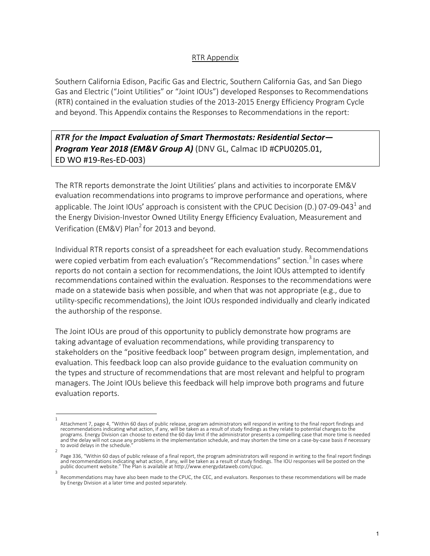## RTR Appendix

Southern California Edison, Pacific Gas and Electric, Southern California Gas, and San Diego Gas and Electric ("Joint Utilities" or "Joint IOUs") developed Responses to Recommendations (RTR) contained in the evaluation studies of the 2013-2015 Energy Efficiency Program Cycle and beyond. This Appendix contains the Responses to Recommendations in the report:

## *RTR for the Impact Evaluation of Smart Thermostats: Residential Sector— Program Year 2018 (EM&V Group A)* (DNV GL, Calmac ID #CPU0205.01, ED WO #19-Res-ED-003)

The RTR reports demonstrate the Joint Utilities' plans and activities to incorporate EM&V evaluation recommendations into programs to improve performance and operations, where applicable. The Joint IOUs' approach is consistent with the CPUC Decision (D.) 07-09-043<sup>1</sup> and the Energy Division-Investor Owned Utility Energy Efficiency Evaluation, Measurement and Verification (EM&V) Plan<sup>2</sup> for 2013 and beyond.

Individual RTR reports consist of a spreadsheet for each evaluation study. Recommendations were copied verbatim from each evaluation's "Recommendations" section.<sup>3</sup> In cases where reports do not contain a section for recommendations, the Joint IOUs attempted to identify recommendations contained within the evaluation. Responses to the recommendations were made on a statewide basis when possible, and when that was not appropriate (e.g., due to utility-specific recommendations), the Joint IOUs responded individually and clearly indicated the authorship of the response.

The Joint IOUs are proud of this opportunity to publicly demonstrate how programs are taking advantage of evaluation recommendations, while providing transparency to stakeholders on the "positive feedback loop" between program design, implementation, and evaluation. This feedback loop can also provide guidance to the evaluation community on the types and structure of recommendations that are most relevant and helpful to program managers. The Joint IOUs believe this feedback will help improve both programs and future evaluation reports.

<sup>1</sup>  Attachment 7, page 4, "Within 60 days of public release, program administrators will respond in writing to the final report findings and recommendations indicating what action, if any, will be taken as a result of study findings as they relate to potential changes to the programs. Energy Division can choose to extend the 60 day limit if the administrator presents a compelling case that more time is needed and the delay will not cause any problems in the implementation schedule, and may shorten the time on a case-by-case basis if necessary to avoid delays in the schedule.

<sup>2</sup>  Page 336, "Within 60 days of public release of a final report, the program administrators will respond in writing to the final report findings<br>and recommendations indicating what action, if any, will be taken as a result o public document website." The Plan is available at http://www.energydataweb.com/cpuc. 3

Recommendations may have also been made to the CPUC, the CEC, and evaluators. Responses to these recommendations will be made by Energy Division at a later time and posted separately.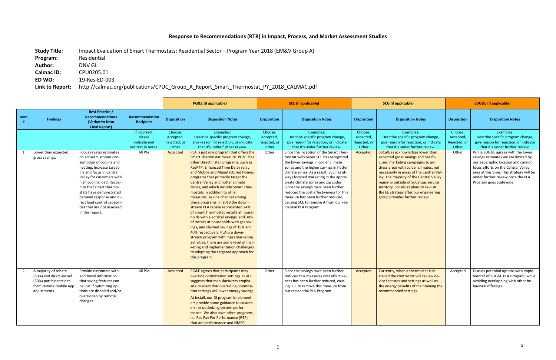## **Response to Recommendations (RTR) in Impact, Process, and Market Assessment Studies**

**Study Title:** Impact Evaluation of Smart Thermostats: Residential Sector—Program Year 2018 (EM&V Group A) **Program:** Residential **Author:** DNV GL **Calmac ID:** CPU0205.01<br>**ED WO:** 19-Res-ED-00 **ED WO:** 19-Res-ED-003

**Link to Report:** http://calmac.org/publications/CPUC\_Group\_A\_Report\_Smart\_Thermostat\_PY\_2018\_CALMAC.pdf

|                |                                                                                                                       |                                                                                                                                                                                                                                                                                                                                        | <b>PG&amp;E</b> (if applicable)                                          |                                                           | <b>SCE</b> (if applicable)                                                                                                                                                                                                                                                                                                                                                                                                                                                                                                                                                                                                                                                                                                                                                                                                  |                                                        | <b>SCG</b> (if applicable)                                                                                                                                                                                                                                                                                                                                                                                                               |                                                           | <b>SDG&amp;E (if applicable)</b>                                                                                                                                                                                                                                                                                                                                    |                                                        |                                                                                                                                                                                                                              |
|----------------|-----------------------------------------------------------------------------------------------------------------------|----------------------------------------------------------------------------------------------------------------------------------------------------------------------------------------------------------------------------------------------------------------------------------------------------------------------------------------|--------------------------------------------------------------------------|-----------------------------------------------------------|-----------------------------------------------------------------------------------------------------------------------------------------------------------------------------------------------------------------------------------------------------------------------------------------------------------------------------------------------------------------------------------------------------------------------------------------------------------------------------------------------------------------------------------------------------------------------------------------------------------------------------------------------------------------------------------------------------------------------------------------------------------------------------------------------------------------------------|--------------------------------------------------------|------------------------------------------------------------------------------------------------------------------------------------------------------------------------------------------------------------------------------------------------------------------------------------------------------------------------------------------------------------------------------------------------------------------------------------------|-----------------------------------------------------------|---------------------------------------------------------------------------------------------------------------------------------------------------------------------------------------------------------------------------------------------------------------------------------------------------------------------------------------------------------------------|--------------------------------------------------------|------------------------------------------------------------------------------------------------------------------------------------------------------------------------------------------------------------------------------|
| Item           | <b>Findings</b>                                                                                                       | <b>Best Practice /</b><br><b>Recommendations</b><br>(Verbatim from<br><b>Final Report)</b>                                                                                                                                                                                                                                             | Recommendation<br>Recipient                                              | <b>Disposition</b>                                        | <b>Disposition Notes</b>                                                                                                                                                                                                                                                                                                                                                                                                                                                                                                                                                                                                                                                                                                                                                                                                    | <b>Disposition</b>                                     | <b>Disposition Notes</b>                                                                                                                                                                                                                                                                                                                                                                                                                 | <b>Disposition</b>                                        | <b>Disposition Notes</b>                                                                                                                                                                                                                                                                                                                                            | <b>Disposition</b>                                     | <b>Disposition Notes</b>                                                                                                                                                                                                     |
|                | Lower than expected                                                                                                   | Focus savings estimates                                                                                                                                                                                                                                                                                                                | If incorrect,<br>please<br>indicate and<br>redirect in notes.<br>All PAs | Choose:<br>Accepted,<br>Rejected, or<br>Other<br>Accepted | Examples:<br>Describe specific program change,<br>give reason for rejection, or indicate<br>that it's under further review.<br>PLA is just one program that offers the                                                                                                                                                                                                                                                                                                                                                                                                                                                                                                                                                                                                                                                      | Choose:<br>Accepted,<br>Rejected, or<br>Other<br>Other | Examples:<br>Describe specific program change,<br>give reason for rejection, or indicate<br>that it's under further review.<br>Since the inception of the Smart Ther-                                                                                                                                                                                                                                                                    | Choose:<br>Accepted,<br>Rejected, or<br>Other<br>Accepted | Examples:<br>Describe specific program change,<br>give reason for rejection, or indicate<br>that it's under further review.<br>SoCalGas acknowledges lower than                                                                                                                                                                                                     | Choose:<br>Accepted,<br>Rejected, or<br>Other<br>Other | Examples:<br>Describe specific program change,<br>give reason for rejection, or indicate<br>that it's under further review.<br>While SDG&E agrees with the lower                                                             |
|                | gross savings.                                                                                                        | on actual customer con-<br>sumption of cooling and<br>heating. Increase target-<br>ing and focus in Central<br>Valley for customers with<br>high cooling load. Recog-<br>nize that smart thermo-<br>stats have demonstrated<br>demand response and di-<br>rect load control capabili-<br>ties that are not assessed<br>in this report. |                                                                          |                                                           | Smart Thermostat measure. PG&E has<br>other Direct Install programs, such as<br>ResP4P, Enhanced Time Delay relay<br>and Mobile and Manufactured Homes<br>programs that primarily target the<br><b>Central Valley and hotter climate</b><br>zones, and which include Smart Ther-<br>mostats in addition to other<br>measures. As one channel among<br>these programs, in 2018 the down-<br>stream PLA rebate represented 24%<br>of Smart Thermostat installs at house-<br>holds with electrical savings, and 34%<br>of installs at households with gas sav-<br>ings, and claimed savings of 19% and<br>40% respectively. PLA is a down-<br>stream program with mass marketing<br>activities, there are some level of mar-<br>keting and implementation challenges<br>to adopting the targeted approach for<br>this program. |                                                        | mostat workpaper SCE has recognized<br>the lower savings in cooler climate<br>zones and the higher savings in hotter<br>climate zones. As a result, SCE has al-<br>ways focused marketing in the appro-<br>priate climate zones and zip codes.<br>Since the savings have been further<br>reduced the cost effectiveness for this<br>measure has been further reduced,<br>causing SCE to remove it from our res-<br>idential PLA Program. |                                                           | expected gross savings and has fo-<br>cused marketing campaigns to ad-<br>dress areas with colder climates, not<br>necessarily in areas of the Central Val-<br>ley. The majority of the Central Valley<br>region is outside of SoCalGas service<br>territory. SoCalGas plans to re-visit<br>the EE strategy after our engineering<br>group provides further review. |                                                        | savings estimates we are limited by<br>our geographic location and cannot<br>focus efforts on the Central Valley<br>area at this time. This strategy will be<br>under further review once the PLA<br>Program goes Statewide. |
| $\overline{2}$ | A majority of rebate<br>(80%) and direct-install<br>(60%) participants per-<br>form remote mobile app<br>adjustments. | Provide customers with<br>additional information<br>that saving features can<br>be lost if optimizing op-<br>tions are disabled and/or<br>overridden by remote<br>changes.                                                                                                                                                             | All PAs                                                                  | Accepted                                                  | PG&E agrees that participants may<br>override optimization settings. PG&E<br>suggests that manufacturers empha-<br>size to users that overriding optimiza-<br>tion settings will lower energy savings.<br>At install, our DI program implement-<br>ers provide some guidance to custom-<br>ers for optimizing system perfor-<br>mance. We also have other programs,<br>i.e. Res Pay For Performance (P4P),<br>that are performance and NMEC-                                                                                                                                                                                                                                                                                                                                                                                | Other                                                  | Since the savings have been further<br>reduced this measures cost effective-<br>ness has been further reduced, caus-<br>ing SCE to remove this measure from<br>our residential PLA Program.                                                                                                                                                                                                                                              | Accepted                                                  | Currently, when a thermostat is in-<br>stalled the contractor will review de-<br>vice features and settings as well as<br>the energy benefits of maintaining the<br>recommended settings.                                                                                                                                                                           | Accepted                                               | Discuss potential options with Imple-<br>menter of SDG&E PLA Program, while<br>avoiding overlapping with other be-<br>havioral offerings.                                                                                    |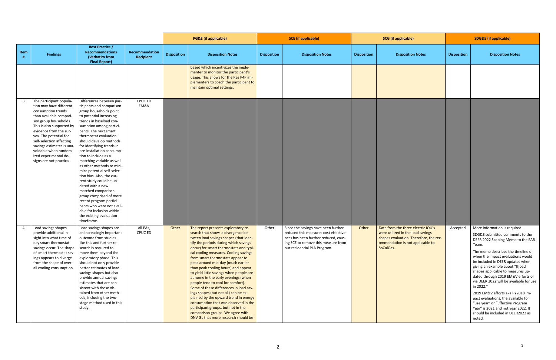|                |                                                                                                                                                                                                                                                                                                                                                      |                                                                                                                                                                                                                                                                                                                                                                                                                                                                                                                                                                                                                                                                                  |                             | <b>PG&amp;E</b> (if applicable) |                                                                                                                                                                                                                                                                                                                                                                                                                                                                                                                                                                                                                                                                                                                                                                           | <b>SCE</b> (if applicable) |                                                                                                                                                                                             | <b>SCG</b> (if applicable) |                                                                                                                                                                    | <b>SDG&amp;E</b> (if applicable) |                                                                                                                                                                                                                                                                                                                                                                                                                                                                                                                                                                                                          |
|----------------|------------------------------------------------------------------------------------------------------------------------------------------------------------------------------------------------------------------------------------------------------------------------------------------------------------------------------------------------------|----------------------------------------------------------------------------------------------------------------------------------------------------------------------------------------------------------------------------------------------------------------------------------------------------------------------------------------------------------------------------------------------------------------------------------------------------------------------------------------------------------------------------------------------------------------------------------------------------------------------------------------------------------------------------------|-----------------------------|---------------------------------|---------------------------------------------------------------------------------------------------------------------------------------------------------------------------------------------------------------------------------------------------------------------------------------------------------------------------------------------------------------------------------------------------------------------------------------------------------------------------------------------------------------------------------------------------------------------------------------------------------------------------------------------------------------------------------------------------------------------------------------------------------------------------|----------------------------|---------------------------------------------------------------------------------------------------------------------------------------------------------------------------------------------|----------------------------|--------------------------------------------------------------------------------------------------------------------------------------------------------------------|----------------------------------|----------------------------------------------------------------------------------------------------------------------------------------------------------------------------------------------------------------------------------------------------------------------------------------------------------------------------------------------------------------------------------------------------------------------------------------------------------------------------------------------------------------------------------------------------------------------------------------------------------|
| Item           | <b>Findings</b>                                                                                                                                                                                                                                                                                                                                      | <b>Best Practice /</b><br>Recommendations<br>(Verbatim from<br><b>Final Report)</b>                                                                                                                                                                                                                                                                                                                                                                                                                                                                                                                                                                                              | Recommendation<br>Recipient | <b>Disposition</b>              | <b>Disposition Notes</b>                                                                                                                                                                                                                                                                                                                                                                                                                                                                                                                                                                                                                                                                                                                                                  | <b>Disposition</b>         | <b>Disposition Notes</b>                                                                                                                                                                    | <b>Disposition</b>         | <b>Disposition Notes</b>                                                                                                                                           | <b>Disposition</b>               | <b>Disposition Notes</b>                                                                                                                                                                                                                                                                                                                                                                                                                                                                                                                                                                                 |
|                |                                                                                                                                                                                                                                                                                                                                                      |                                                                                                                                                                                                                                                                                                                                                                                                                                                                                                                                                                                                                                                                                  |                             |                                 | based which incentivizes the imple-<br>menter to monitor the participant's<br>usage. This allows for the Res P4P im-<br>plementers to coach the participant to<br>maintain optimal settings.                                                                                                                                                                                                                                                                                                                                                                                                                                                                                                                                                                              |                            |                                                                                                                                                                                             |                            |                                                                                                                                                                    |                                  |                                                                                                                                                                                                                                                                                                                                                                                                                                                                                                                                                                                                          |
| 3 <sup>1</sup> | The participant popula-<br>tion may have different<br>consumption trends<br>than available compari-<br>son group households.<br>This is also supported by<br>evidence from the sur-<br>vey. The potential for<br>self-selection affecting<br>savings estimates is una-<br>voidable when random-<br>ized experimental de-<br>signs are not practical. | Differences between par-<br>ticipants and comparison<br>group households point<br>to potential increasing<br>trends in baseload con-<br>sumption among partici-<br>pants. The next smart<br>thermostat evaluation<br>should develop methods<br>for identifying trends in<br>pre-installation consump-<br>tion to include as a<br>matching variable as well<br>as other methods to mini-<br>mize potential self-selec-<br>tion bias. Also, the cur-<br>rent study could be up-<br>dated with a new<br>matched comparison<br>group comprised of more<br>recent program partici-<br>pants who were not avail-<br>able for inclusion within<br>the existing evaluation<br>timeframe. | CPUC ED<br>EM&V             |                                 |                                                                                                                                                                                                                                                                                                                                                                                                                                                                                                                                                                                                                                                                                                                                                                           |                            |                                                                                                                                                                                             |                            |                                                                                                                                                                    |                                  |                                                                                                                                                                                                                                                                                                                                                                                                                                                                                                                                                                                                          |
|                | Load savings shapes<br>provide additional in-<br>sight into what time of<br>day smart thermostat<br>savings occur. The shape<br>of smart thermostat sav-<br>ings appears to diverge<br>from the shape of over-<br>all cooling consumption.                                                                                                           | Load savings shapes are<br>an increasingly important<br>outcome from studies<br>like this and further re-<br>search is required to<br>move them beyond the<br>exploratory phase. This<br>should not only provide<br>better estimates of load<br>savings shapes but also<br>provide annual savings<br>estimates that are con-<br>sistent with those ob-<br>tained from other meth-<br>ods, including the two-<br>stage method used in this<br>study.                                                                                                                                                                                                                              | All PAs,<br><b>CPUC ED</b>  | Other                           | The report presents exploratory re-<br>search that shows a divergence be-<br>tween load savings shapes (that iden-<br>tify the periods during which savings<br>occur) for smart thermostats and typi-<br>cal cooling measures. Cooling savings<br>from smart thermostats appear to<br>peak around mid-day (much earlier<br>than peak cooling hours) and appear<br>to yield little savings when people are<br>at home in the early evenings (when<br>people tend to cool for comfort).<br>Some of these differences in load sav-<br>ings shapes (but not all) can be ex-<br>plained by the upward trend in energy<br>consumption that was observed in the<br>participant groups, but not in the<br>comparison groups. We agree with<br>DNV GL that more research should be | Other                      | Since the savings have been further<br>reduced this measures cost effective-<br>ness has been further reduced, caus-<br>ing SCE to remove this measure from<br>our residential PLA Program. | Other                      | Data from the three electric IOU's<br>were utilized in the load savings<br>shapes evaluation. Therefore, the rec-<br>ommendation is not applicable to<br>SoCalGas. | Accepted                         | More information is required.<br>SDG&E submitted comments to the<br>DEER 2022 Scoping Memo to the EAR<br>Team.<br>The memo describes the timeline of<br>when the impact evaluations would<br>be included in DEER updates when<br>giving an example about "[I]oad<br>shapes applicable to measures up-<br>dated through 2019 EM&V efforts or<br>via DEER 2022 will be available for use<br>in 2022."<br>2019 EM&V efforts aka PY2018 im-<br>pact evaluations, the available for<br>"use year" or "Effective Program<br>Year" is 2021 and not year 2022. It<br>should be included in DEER2022 as<br>noted. |